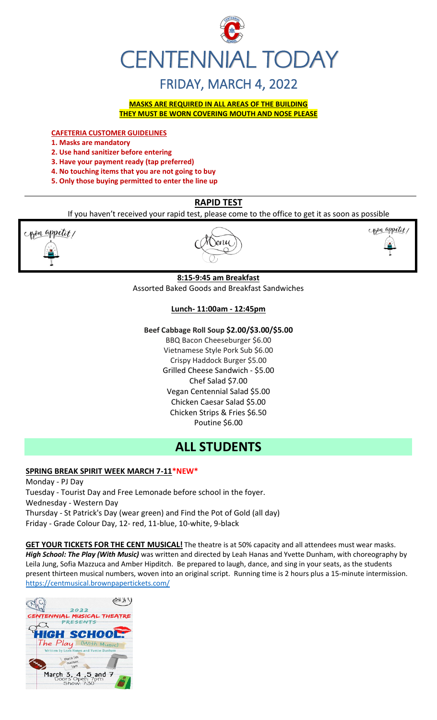

# FRIDAY, MARCH 4, 2022

**MASKS ARE REQUIRED IN ALL AREAS OF THE BUILDING THEY MUST BE WORN COVERING MOUTH AND NOSE PLEASE**

**CAFETERIA CUSTOMER GUIDELINES**

- **1. Masks are mandatory**
- **2. Use hand sanitizer before entering**
- **3. Have your payment ready (tap preferred)**
- **4. No touching items that you are not going to buy**
- **5. Only those buying permitted to enter the line up**

# **RAPID TEST**

If you haven't received your rapid test, please come to the office to get it as soon as possible



l Senu



# **8:15-9:45 am Breakfast**

Assorted Baked Goods and Breakfast Sandwiches

# **Lunch- 11:00am - 12:45pm**

## **Beef Cabbage Roll Soup \$2.00/\$3.00/\$5.00**

BBQ Bacon Cheeseburger \$6.00 Vietnamese Style Pork Sub \$6.00 Crispy Haddock Burger \$5.00 Grilled Cheese Sandwich - \$5.00 Chef Salad \$7.00 Vegan Centennial Salad \$5.00 Chicken Caesar Salad \$5.00 Chicken Strips & Fries \$6.50 Poutine \$6.00

# **ALL STUDENTS**

# **SPRING BREAK SPIRIT WEEK MARCH 7-11\*NEW\***

Monday - PJ Day Tuesday - Tourist Day and Free Lemonade before school in the foyer. Wednesday - Western Day Thursday - St Patrick's Day (wear green) and Find the Pot of Gold (all day) Friday - Grade Colour Day, 12- red, 11-blue, 10-white, 9-black

**GET YOUR TICKETS FOR THE CENT MUSICAL!** The theatre is at 50% capacity and all attendees must wear masks. *High School: The Play (With Music)* was written and directed by Leah Hanas and Yvette Dunham, with choreography by Leila Jung, Sofia Mazzuca and Amber Hipditch. Be prepared to laugh, dance, and sing in your seats, as the students present thirteen musical numbers, woven into an original script. Running time is 2 hours plus a 15-minute intermission. <https://centmusical.brownpapertickets.com/>

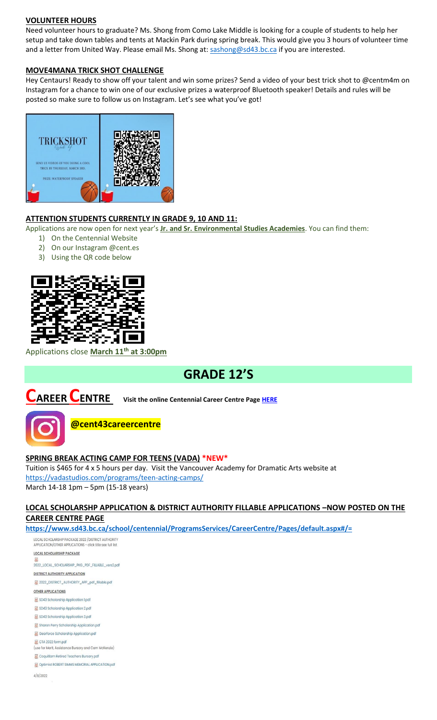#### **VOLUNTEER HOURS**

Need volunteer hours to graduate? Ms. Shong from Como Lake Middle is looking for a couple of students to help her setup and take down tables and tents at Mackin Park during spring break. This would give you 3 hours of volunteer time and a letter from United Way. Please email Ms. Shong at: [sashong@sd43.bc.ca](mailto:sashong@sd43.bc.ca) if you are interested.

#### **MOVE4MANA TRICK SHOT CHALLENGE**

Hey Centaurs! Ready to show off your talent and win some prizes? Send a video of your best trick shot to @centm4m on Instagram for a chance to win one of our exclusive prizes a waterproof Bluetooth speaker! Details and rules will be posted so make sure to follow us on Instagram. Let's see what you've got!



## **ATTENTION STUDENTS CURRENTLY IN GRADE 9, 10 AND 11:**

Applications are now open for next year's **Jr. and Sr. Environmental Studies Academies**. You can find them:

- 1) On the Centennial Website
- 2) On our Instagram @cent.es
- 3) Using the QR code below



Applications close **March 11th at 3:00pm**

# **GRADE 12'S**



**CAREER CENTRE Visit the online Centennial Career Centre Page [HERE](https://www.sd43.bc.ca/school/centennial/ProgramsServices/CareerCentre/experiences/Pages/default.aspx#/=)**



**@cent43careercentre** 

#### **SPRING BREAK ACTING CAMP FOR TEENS (VADA) \*NEW\***

Tuition is \$465 for 4 x 5 hours per day. Visit the Vancouver Academy for Dramatic Arts website at <https://vadastudios.com/programs/teen-acting-camps/> March 14-18 1pm – 5pm (15-18 years)

# **LOCAL SCHOLARSHP APPLICATION & DISTRICT AUTHORITY FILLABLE APPLICATIONS –NOW POSTED ON THE CAREER CENTRE PAGE**

**<https://www.sd43.bc.ca/school/centennial/ProgramsServices/CareerCentre/Pages/default.aspx#/=>**

LOCAL SCHOLARSHIP PACKAGE 2022 / DISTRICT AUTHORITY<br>APPLICATION/OTHER APPLICATIONS - click title see full list

**LOCAL SCHOLARSHIP PACKAGE** 2022\_LOCAL\_SCHOLARSHIP\_PKG\_PDF\_FILLABLE\_vers2.pdf **DISTRICT AUTHORITY APPLICATION** 2022 DISTRICT AUTHORITY APP pdf fillable.pdf **OTHER APPLICATIONS** SD43 Scholarship Application 1.pdf SD43 Scholarship Application 2.pdf SD43 Scholarship Application 3.pdf Sharon Perry Scholarship Application.pdf Gearforce Scholarship Application.pdf CTA 2022 form.pdf .<br>se for Merit, Assistance Bursary and Cam McKenzie) Coquitlam Retired Teachers Bursary.pdf Optimist ROBERT SIMMS MEMORIAL APPLICATION.pdf

 $4/8/2022$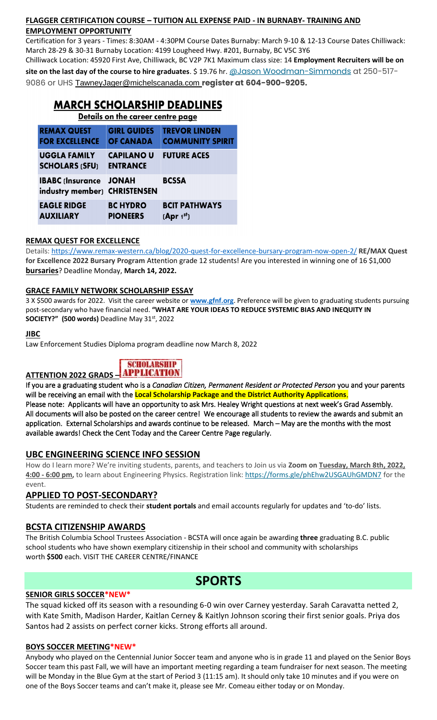# **FLAGGER CERTIFICATION COURSE – TUITION ALL EXPENSE PAID - IN BURNABY- TRAINING AND EMPLOYMENT OPPORTUNITY**

Certification for 3 years - Times: 8:30AM - 4:30PM Course Dates Burnaby: March 9-10 & 12-13 Course Dates Chilliwack: March 28-29 & 30-31 Burnaby Location: 4199 Lougheed Hwy. #201, Burnaby, BC V5C 3Y6

Chilliwack Location: 45920 First Ave, Chilliwack, BC V2P 7K1 Maximum class size: 14 **Employment Recruiters will be on site on the last day of the course to hire graduates**. \$ 19.76 hr. [@Jason Woodman-Simmonds](mailto:JasonWoodman-Simmonds@michelscanada.com) at 250-517- 9086 or UHS [TawneyJager@michelscanada.com](mailto:TawneyJager@michelscanada.com) **register at 604-900-9205.**

#### **MARCH SCHOLARSHIP DEADLINES** Details on the career centre page **GIRL GUIDES TREVOR LINDEN REMAX QUEST FOR EXCELLENCE OF CANADA COMMUNITY SPIRIT FUTURE ACES UGGLA FAMILY CAPILANO U SCHOLARS (SFU) ENTRANCE IBABC (Insurance JONAH) BCSSA** industry member) CHRISTENSEN **EAGLE RIDGE BCIT PATHWAYS BC HYDRO AUXILIARY PIONEERS**  $[Apr 1<sup>st</sup>]$

# **REMAX QUEST FOR EXCELLENCE**

Details:<https://www.remax-western.ca/blog/2020-quest-for-excellence-bursary-program-now-open-2/> **RE/MAX Quest for Excellence 2022 Bursary Program** Attention grade 12 students! Are you interested in winning one of 16 \$1,000 **bursaries**? Deadline Monday, **March 14, 2022.** 

# **GRACE FAMILY NETWORK SCHOLARSHIP ESSAY**

3 X \$500 awards for 2022. Visit the career website or **[www.gfnf.org](http://www.gfnf.org/)**. Preference will be given to graduating students pursuing post-secondary who have financial need. **"WHAT ARE YOUR IDEAS TO REDUCE SYSTEMIC BIAS AND INEQUITY IN SOCIETY?" (500 words)** Deadline May 31st, 2022

#### **JIBC**

Law Enforcement Studies Diploma program deadline now March 8, 2022

# **SCHOLARSHIP ATTENTION 2022 GRADS** –

available awards! Check the Cent Today and the Career Centre Page regularly.

If you are a graduating student who is a *Canadian Citizen, Permanent Resident or Protected Person* you and your parents will be receiving an email with the **Local Scholarship Package and the District Authority Applications**. Please note: Applicants will have an opportunity to ask Mrs. Healey Wright questions at next week's Grad Assembly. All documents will also be posted on the career centre! We encourage all students to review the awards and submit an application. External Scholarships and awards continue to be released. March – May are the months with the most

# **UBC ENGINEERING SCIENCE INFO SESSION**

How do I learn more? We're inviting students, parents, and teachers to Join us via **Zoom on Tuesday, March 8th, 2022, 4:00 - 6:00 pm,** to learn about Engineering Physics. Registration link: <https://forms.gle/phEhw2USGAUhGMDN7> for the event.

# **APPLIED TO POST-SECONDARY?**

Students are reminded to check their **student portals** and email accounts regularly for updates and 'to-do' lists.

# **BCSTA CITIZENSHIP AWARDS**

The British Columbia School Trustees Association - BCSTA will once again be awarding **three** graduating B.C. public school students who have shown exemplary citizenship in their school and community with scholarships worth **\$500** each. VISIT THE CAREER CENTRE/FINANCE

# **SPORTS**

## **SENIOR GIRLS SOCCER\*NEW\***

The squad kicked off its season with a resounding 6-0 win over Carney yesterday. Sarah Caravatta netted 2, with Kate Smith, Madison Harder, Kaitlan Cerney & Kaitlyn Johnson scoring their first senior goals. Priya dos Santos had 2 assists on perfect corner kicks. Strong efforts all around.

## **BOYS SOCCER MEETING\*NEW\***

Anybody who played on the Centennial Junior Soccer team and anyone who is in grade 11 and played on the Senior Boys Soccer team this past Fall, we will have an important meeting regarding a team fundraiser for next season. The meeting will be Monday in the Blue Gym at the start of Period 3 (11:15 am). It should only take 10 minutes and if you were on one of the Boys Soccer teams and can't make it, please see Mr. Comeau either today or on Monday.